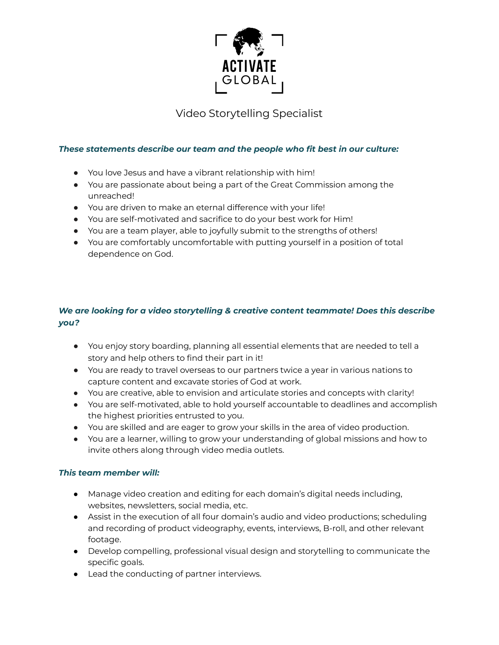

Video Storytelling Specialist

### *These statements describe our team and the people who fit best in our culture:*

- You love Jesus and have a vibrant relationship with him!
- You are passionate about being a part of the Great Commission among the unreached!
- You are driven to make an eternal difference with your life!
- You are self-motivated and sacrifice to do your best work for Him!
- You are a team player, able to joyfully submit to the strengths of others!
- You are comfortably uncomfortable with putting yourself in a position of total dependence on God.

# *We are looking for a video storytelling & creative content teammate! Does this describe you?*

- You enjoy story boarding, planning all essential elements that are needed to tell a story and help others to find their part in it!
- You are ready to travel overseas to our partners twice a year in various nations to capture content and excavate stories of God at work.
- You are creative, able to envision and articulate stories and concepts with clarity!
- You are self-motivated, able to hold yourself accountable to deadlines and accomplish the highest priorities entrusted to you.
- You are skilled and are eager to grow your skills in the area of video production.
- You are a learner, willing to grow your understanding of global missions and how to invite others along through video media outlets.

## *This team member will:*

- Manage video creation and editing for each domain's digital needs including, websites, newsletters, social media, etc.
- Assist in the execution of all four domain's audio and video productions; scheduling and recording of product videography, events, interviews, B-roll, and other relevant footage.
- Develop compelling, professional visual design and storytelling to communicate the specific goals.
- Lead the conducting of partner interviews.